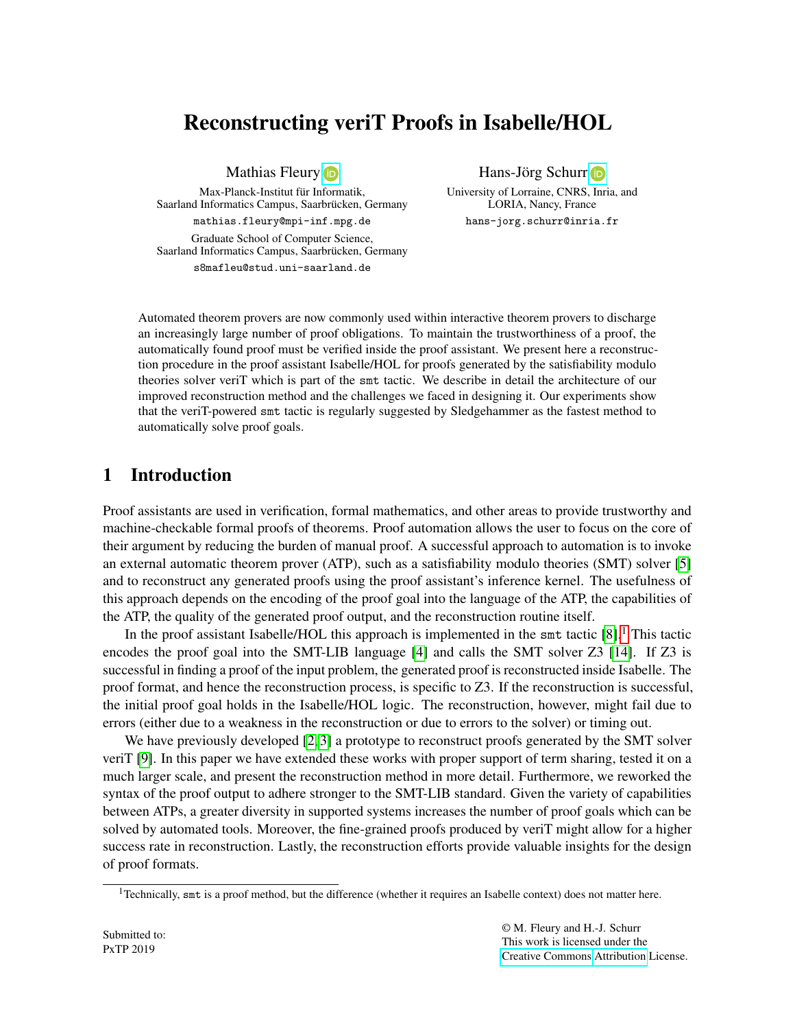# Reconstructing veriT Proofs in Isabelle/HOL

Mathias Fleury **D** 

Max-Planck-Institut für Informatik, Saarland Informatics Campus, Saarbrücken, Germany mathias.fleury@mpi-inf.mpg.de Graduate School of Computer Science,

Saarland Informatics Campus, Saarbrücken, Germany s8mafleu@stud.uni-saarland.de

Hans-Jörg Schurr in

University of Lorraine, CNRS, Inria, and LORIA, Nancy, France hans-jorg.schurr@inria.fr

Automated theorem provers are now commonly used within interactive theorem provers to discharge an increasingly large number of proof obligations. To maintain the trustworthiness of a proof, the automatically found proof must be verified inside the proof assistant. We present here a reconstruction procedure in the proof assistant Isabelle/HOL for proofs generated by the satisfiability modulo theories solver veriT which is part of the smt tactic. We describe in detail the architecture of our improved reconstruction method and the challenges we faced in designing it. Our experiments show that the veriT-powered smt tactic is regularly suggested by Sledgehammer as the fastest method to automatically solve proof goals.

## 1 Introduction

Proof assistants are used in verification, formal mathematics, and other areas to provide trustworthy and machine-checkable formal proofs of theorems. Proof automation allows the user to focus on the core of their argument by reducing the burden of manual proof. A successful approach to automation is to invoke an external automatic theorem prover (ATP), such as a satisfiability modulo theories (SMT) solver [\[5\]](#page-13-0) and to reconstruct any generated proofs using the proof assistant's inference kernel. The usefulness of this approach depends on the encoding of the proof goal into the language of the ATP, the capabilities of the ATP, the quality of the generated proof output, and the reconstruction routine itself.

In the proof assistant Isabelle/HOL this approach is implemented in the smt tactic  $[8]$ .<sup>[1](#page-0-0)</sup> This tactic encodes the proof goal into the SMT-LIB language [\[4\]](#page-13-2) and calls the SMT solver Z3 [\[14\]](#page-13-3). If Z3 is successful in finding a proof of the input problem, the generated proof is reconstructed inside Isabelle. The proof format, and hence the reconstruction process, is specific to Z3. If the reconstruction is successful, the initial proof goal holds in the Isabelle/HOL logic. The reconstruction, however, might fail due to errors (either due to a weakness in the reconstruction or due to errors to the solver) or timing out.

We have previously developed [\[2,](#page-13-4) [3\]](#page-13-5) a prototype to reconstruct proofs generated by the SMT solver veriT [\[9\]](#page-13-6). In this paper we have extended these works with proper support of term sharing, tested it on a much larger scale, and present the reconstruction method in more detail. Furthermore, we reworked the syntax of the proof output to adhere stronger to the SMT-LIB standard. Given the variety of capabilities between ATPs, a greater diversity in supported systems increases the number of proof goals which can be solved by automated tools. Moreover, the fine-grained proofs produced by veriT might allow for a higher success rate in reconstruction. Lastly, the reconstruction efforts provide valuable insights for the design of proof formats.

<span id="page-0-0"></span> $<sup>1</sup>$ Technically, smt is a proof method, but the difference (whether it requires an Isabelle context) does not matter here.</sup>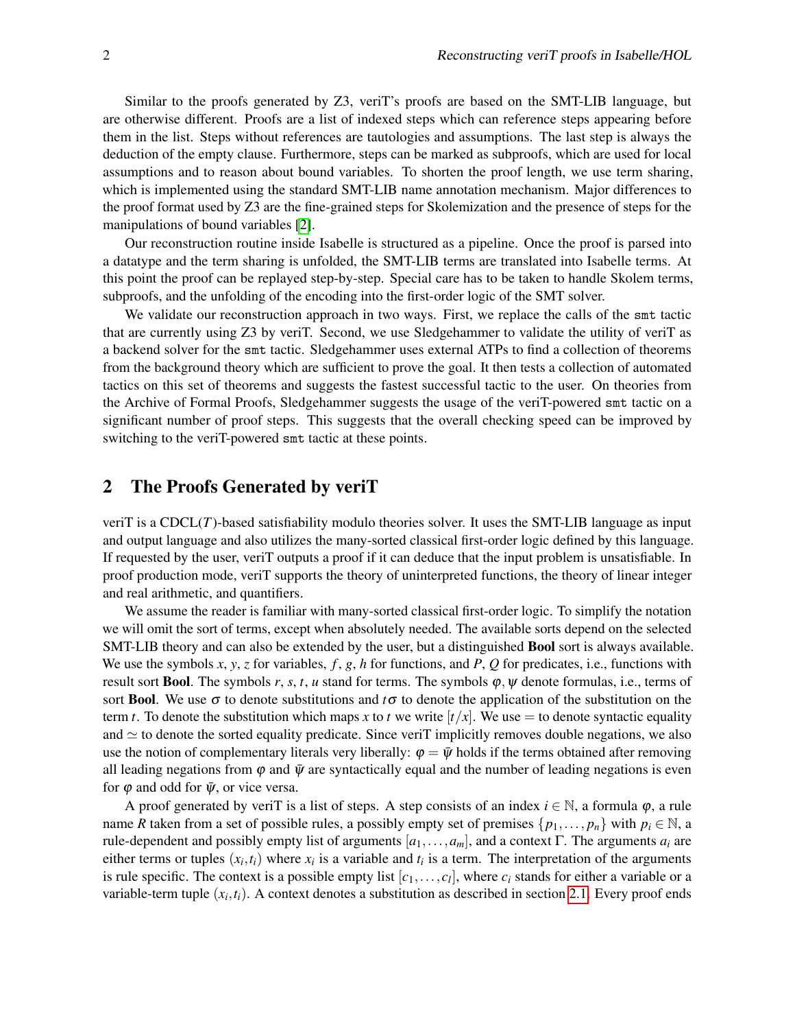Similar to the proofs generated by Z3, veriT's proofs are based on the SMT-LIB language, but are otherwise different. Proofs are a list of indexed steps which can reference steps appearing before them in the list. Steps without references are tautologies and assumptions. The last step is always the deduction of the empty clause. Furthermore, steps can be marked as subproofs, which are used for local assumptions and to reason about bound variables. To shorten the proof length, we use term sharing, which is implemented using the standard SMT-LIB name annotation mechanism. Major differences to the proof format used by Z3 are the fine-grained steps for Skolemization and the presence of steps for the manipulations of bound variables [\[2\]](#page-13-4).

Our reconstruction routine inside Isabelle is structured as a pipeline. Once the proof is parsed into a datatype and the term sharing is unfolded, the SMT-LIB terms are translated into Isabelle terms. At this point the proof can be replayed step-by-step. Special care has to be taken to handle Skolem terms, subproofs, and the unfolding of the encoding into the first-order logic of the SMT solver.

We validate our reconstruction approach in two ways. First, we replace the calls of the smt tactic that are currently using Z3 by veriT. Second, we use Sledgehammer to validate the utility of veriT as a backend solver for the smt tactic. Sledgehammer uses external ATPs to find a collection of theorems from the background theory which are sufficient to prove the goal. It then tests a collection of automated tactics on this set of theorems and suggests the fastest successful tactic to the user. On theories from the Archive of Formal Proofs, Sledgehammer suggests the usage of the veriT-powered smt tactic on a significant number of proof steps. This suggests that the overall checking speed can be improved by switching to the veriT-powered smt tactic at these points.

### 2 The Proofs Generated by veriT

veriT is a CDCL(*T*)-based satisfiability modulo theories solver. It uses the SMT-LIB language as input and output language and also utilizes the many-sorted classical first-order logic defined by this language. If requested by the user, veriT outputs a proof if it can deduce that the input problem is unsatisfiable. In proof production mode, veriT supports the theory of uninterpreted functions, the theory of linear integer and real arithmetic, and quantifiers.

We assume the reader is familiar with many-sorted classical first-order logic. To simplify the notation we will omit the sort of terms, except when absolutely needed. The available sorts depend on the selected SMT-LIB theory and can also be extended by the user, but a distinguished Bool sort is always available. We use the symbols *x*, *y*, *z* for variables, *f* , *g*, *h* for functions, and *P*, *Q* for predicates, i.e., functions with result sort **Bool**. The symbols  $r, s, t, u$  stand for terms. The symbols  $\varphi, \psi$  denote formulas, i.e., terms of sort **Bool**. We use  $\sigma$  to denote substitutions and  $t\sigma$  to denote the application of the substitution on the term *t*. To denote the substitution which maps *x* to *t* we write  $[t/x]$ . We use  $=$  to denote syntactic equality and  $\simeq$  to denote the sorted equality predicate. Since veriT implicitly removes double negations, we also use the notion of complementary literals very liberally:  $\varphi = \bar{\psi}$  holds if the terms obtained after removing all leading negations from  $\varphi$  and  $\bar{\psi}$  are syntactically equal and the number of leading negations is even for  $\varphi$  and odd for  $\bar{\psi}$ , or vice versa.

A proof generated by veriT is a list of steps. A step consists of an index  $i \in \mathbb{N}$ , a formula  $\varphi$ , a rule name *R* taken from a set of possible rules, a possibly empty set of premises  $\{p_1, \ldots, p_n\}$  with  $p_i \in \mathbb{N}$ , a rule-dependent and possibly empty list of arguments  $[a_1, \ldots, a_m]$ , and a context Γ. The arguments  $a_i$  are either terms or tuples  $(x_i, t_i)$  where  $x_i$  is a variable and  $t_i$  is a term. The interpretation of the arguments is rule specific. The context is a possible empty list  $[c_1, \ldots, c_l]$ , where  $c_i$  stands for either a variable or a variable-term tuple  $(x_i, t_i)$ . A context denotes a substitution as described in section [2.1.](#page-2-0) Every proof ends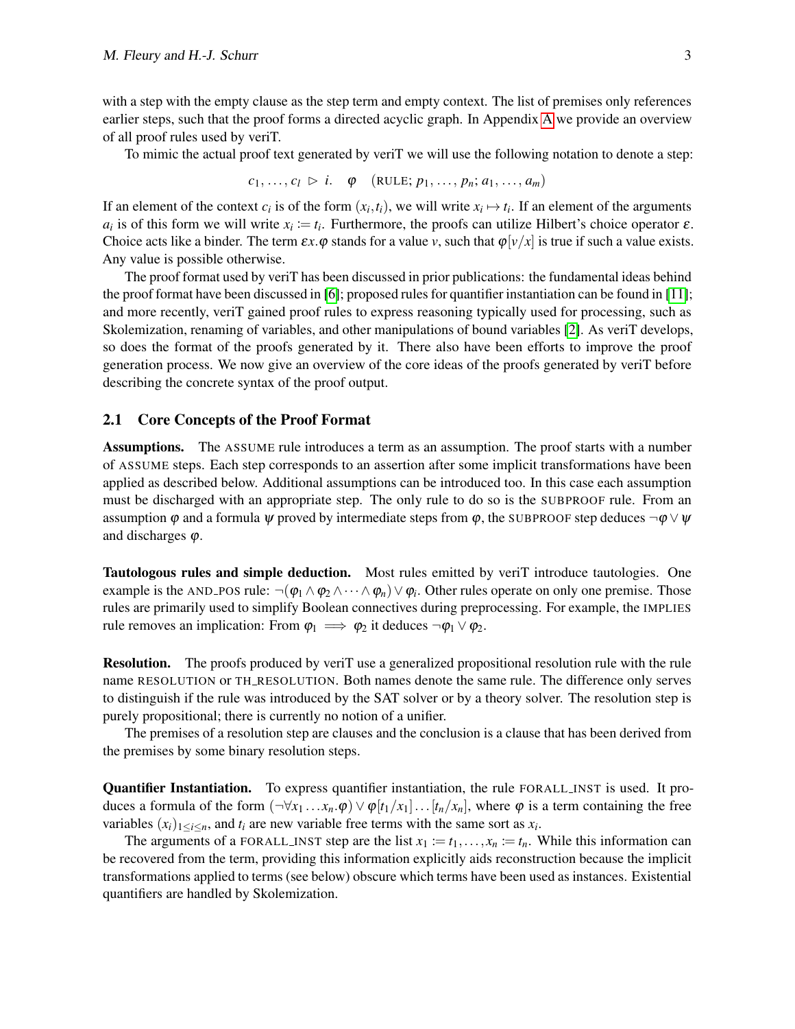with a step with the empty clause as the step term and empty context. The list of premises only references earlier steps, such that the proof forms a directed acyclic graph. In Appendix [A](#page-14-0) we provide an overview of all proof rules used by veriT.

To mimic the actual proof text generated by veriT we will use the following notation to denote a step:

 $c_1, \ldots, c_l \triangleright i$ .  $\varphi$  (RULE;  $p_1, \ldots, p_n; a_1, \ldots, a_m$ )

If an element of the context  $c_i$  is of the form  $(x_i, t_i)$ , we will write  $x_i \mapsto t_i$ . If an element of the arguments *a*<sub>*i*</sub> is of this form we will write  $x_i := t_i$ . Furthermore, the proofs can utilize Hilbert's choice operator  $\varepsilon$ . Choice acts like a binder. The term  $\epsilon x.\varphi$  stands for a value *v*, such that  $\varphi[\nu/x]$  is true if such a value exists. Any value is possible otherwise.

The proof format used by veriT has been discussed in prior publications: the fundamental ideas behind the proof format have been discussed in [\[6\]](#page-13-7); proposed rules for quantifier instantiation can be found in [\[11\]](#page-13-8); and more recently, veriT gained proof rules to express reasoning typically used for processing, such as Skolemization, renaming of variables, and other manipulations of bound variables [\[2\]](#page-13-4). As veriT develops, so does the format of the proofs generated by it. There also have been efforts to improve the proof generation process. We now give an overview of the core ideas of the proofs generated by veriT before describing the concrete syntax of the proof output.

#### <span id="page-2-0"></span>2.1 Core Concepts of the Proof Format

Assumptions. The ASSUME rule introduces a term as an assumption. The proof starts with a number of ASSUME steps. Each step corresponds to an assertion after some implicit transformations have been applied as described below. Additional assumptions can be introduced too. In this case each assumption must be discharged with an appropriate step. The only rule to do so is the SUBPROOF rule. From an assumption  $\varphi$  and a formula  $\psi$  proved by intermediate steps from  $\varphi$ , the SUBPROOF step deduces  $\neg \varphi \lor \psi$ and discharges  $\varphi$ .

Tautologous rules and simple deduction. Most rules emitted by veriT introduce tautologies. One example is the AND\_POS rule:  $\neg(\phi_1 \wedge \phi_2 \wedge \cdots \wedge \phi_n) \vee \phi_i$ . Other rules operate on only one premise. Those rules are primarily used to simplify Boolean connectives during preprocessing. For example, the IMPLIES rule removes an implication: From  $\varphi_1 \implies \varphi_2$  it deduces  $\neg \varphi_1 \lor \varphi_2$ .

Resolution. The proofs produced by veriT use a generalized propositional resolution rule with the rule name RESOLUTION or TH RESOLUTION. Both names denote the same rule. The difference only serves to distinguish if the rule was introduced by the SAT solver or by a theory solver. The resolution step is purely propositional; there is currently no notion of a unifier.

The premises of a resolution step are clauses and the conclusion is a clause that has been derived from the premises by some binary resolution steps.

Quantifier Instantiation. To express quantifier instantiation, the rule FORALL INST is used. It produces a formula of the form  $(\neg \forall x_1 \ldots x_n \cdot \varphi) \vee \varphi[t_1/x_1] \ldots [t_n/x_n]$ , where  $\varphi$  is a term containing the free variables  $(x_i)_{1 \leq i \leq n}$ , and  $t_i$  are new variable free terms with the same sort as  $x_i$ .

The arguments of a FORALL INST step are the list  $x_1 := t_1, \ldots, x_n := t_n$ . While this information can be recovered from the term, providing this information explicitly aids reconstruction because the implicit transformations applied to terms (see below) obscure which terms have been used as instances. Existential quantifiers are handled by Skolemization.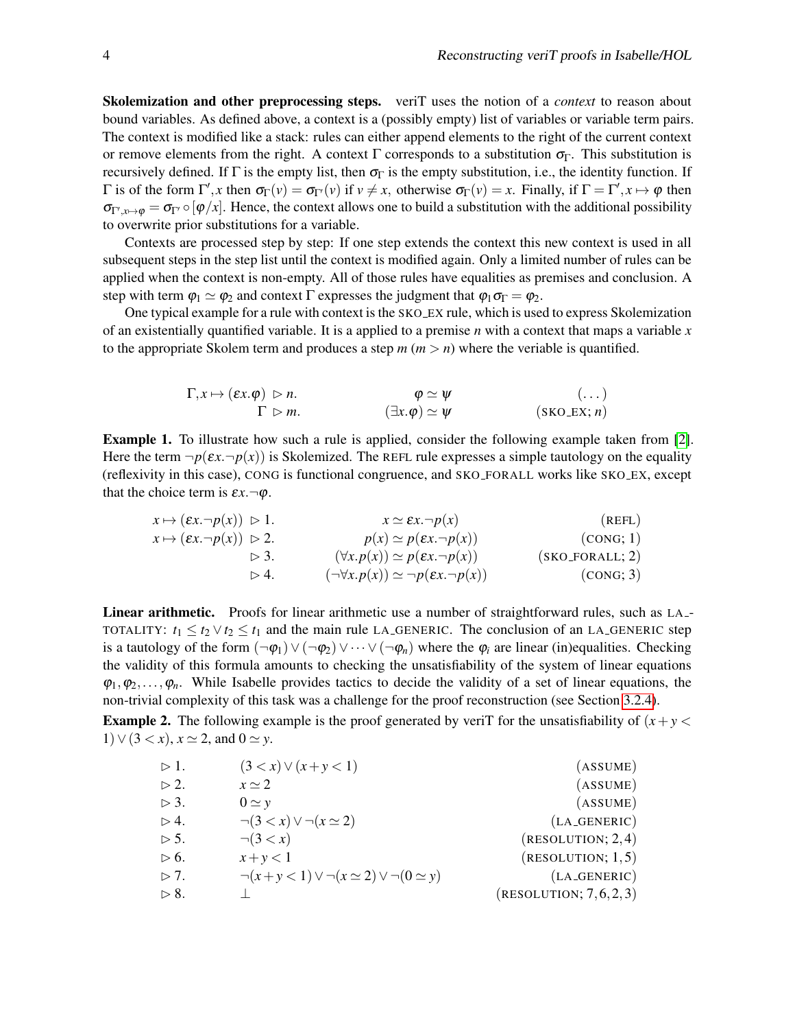Skolemization and other preprocessing steps. veriT uses the notion of a *context* to reason about bound variables. As defined above, a context is a (possibly empty) list of variables or variable term pairs. The context is modified like a stack: rules can either append elements to the right of the current context or remove elements from the right. A context Γ corresponds to a substitution  $\sigma_{\Gamma}$ . This substitution is recursively defined. If  $\Gamma$  is the empty list, then  $\sigma_{\Gamma}$  is the empty substitution, i.e., the identity function. If  $\Gamma$  is of the form  $\Gamma', x$  then  $\sigma_{\Gamma}(v) = \sigma_{\Gamma'}(v)$  if  $v \neq x$ , otherwise  $\sigma_{\Gamma}(v) = x$ . Finally, if  $\Gamma = \Gamma', x \mapsto \varphi$  then  $\sigma_{\Gamma',x\mapsto\varphi}=\sigma_{\Gamma'}\circ[\varphi/x]$ . Hence, the context allows one to build a substitution with the additional possibility to overwrite prior substitutions for a variable.

Contexts are processed step by step: If one step extends the context this new context is used in all subsequent steps in the step list until the context is modified again. Only a limited number of rules can be applied when the context is non-empty. All of those rules have equalities as premises and conclusion. A step with term  $\varphi_1 \simeq \varphi_2$  and context  $\Gamma$  expresses the judgment that  $\varphi_1 \sigma_{\Gamma} = \varphi_2$ .

One typical example for a rule with context is the SKO EX rule, which is used to express Skolemization of an existentially quantified variable. It is a applied to a premise *n* with a context that maps a variable *x* to the appropriate Skolem term and produces a step  $m (m > n)$  where the veriable is quantified.

$$
\Gamma, x \mapsto (\varepsilon x. \varphi) \vartriangleright n. \qquad \varphi \simeq \psi \qquad (\dots)
$$
  

$$
\Gamma \vartriangleright m. \qquad (\exists x. \varphi) \simeq \psi \qquad (\text{SKO\_EX}; n)
$$

Example 1. To illustrate how such a rule is applied, consider the following example taken from [\[2\]](#page-13-4). Here the term  $\neg p(\varepsilon x.\neg p(x))$  is Skolemized. The REFL rule expresses a simple tautology on the equality (reflexivity in this case), CONG is functional congruence, and SKO FORALL works like SKO EX, except that the choice term is  $\epsilon x. \neg \varphi$ .

$$
x \mapsto (\varepsilon x.\neg p(x)) \triangleright 1.
$$
\n
$$
x \mapsto (\varepsilon x.\neg p(x)) \triangleright 2.
$$
\n
$$
\triangleright 3.
$$
\n
$$
\varepsilon x \mapsto (\varepsilon x.\neg p(x)) \triangleright 2.
$$
\n
$$
\varepsilon x \mapsto (\varepsilon x.\neg p(x)) \triangleright 3.
$$
\n
$$
\varepsilon x \mapsto (\varepsilon x.\neg p(x)) \triangleright 3.
$$
\n
$$
\varepsilon x \mapsto (\varepsilon x.\neg p(x)) \triangleright 4.
$$
\n
$$
\varepsilon x \mapsto (\varepsilon x.\neg p(x)) \triangleright 4.
$$
\n
$$
\varepsilon x \mapsto (\varepsilon x.\neg p(x)) \triangleright 4.
$$
\n
$$
\varepsilon x \mapsto (\varepsilon x.\neg p(x)) \triangleright 4.
$$
\n
$$
\varepsilon x \mapsto (\varepsilon x.\neg p(x)) \triangleright 4.
$$
\n
$$
\varepsilon x \mapsto (\varepsilon x.\neg p(x)) \triangleright 4.
$$
\n
$$
\varepsilon x \mapsto (\varepsilon x.\neg p(x)) \triangleright 4.
$$
\n
$$
\varepsilon x \mapsto (\varepsilon x.\neg p(x)) \triangleright 4.
$$
\n
$$
\varepsilon x \mapsto (\varepsilon x.\neg p(x)) \triangleright 4.
$$
\n
$$
\varepsilon x \mapsto (\varepsilon x.\neg p(x)) \triangleright 4.
$$
\n
$$
\varepsilon x \mapsto (\varepsilon x.\neg p(x)) \triangleright 4.
$$
\n
$$
\varepsilon x \mapsto (\varepsilon x.\neg p(x)) \triangleright 4.
$$
\n
$$
\varepsilon x \mapsto (\varepsilon x.\neg p(x)) \triangleright 4.
$$

Linear arithmetic. Proofs for linear arithmetic use a number of straightforward rules, such as LA<sub>-</sub> TOTALITY:  $t_1 \le t_2 \vee t_2 \le t_1$  and the main rule LA\_GENERIC. The conclusion of an LA\_GENERIC step is a tautology of the form  $(\neg \varphi_1) \lor (\neg \varphi_2) \lor \dots \lor (\neg \varphi_n)$  where the  $\varphi_i$  are linear (in)equalities. Checking the validity of this formula amounts to checking the unsatisfiability of the system of linear equations  $\varphi_1, \varphi_2, \ldots, \varphi_n$ . While Isabelle provides tactics to decide the validity of a set of linear equations, the non-trivial complexity of this task was a challenge for the proof reconstruction (see Section [3.2.4\)](#page-9-0).

**Example 2.** The following example is the proof generated by veriT for the unsatisfiability of  $(x + y <$ 1) ∨  $(3 < x)$ ,  $x \approx 2$ , and  $0 \approx y$ .

| $>1$ .              | $(3 < x) \vee (x + y < 1)$                                | (ASSUME)                |
|---------------------|-----------------------------------------------------------|-------------------------|
| $> 2$ .             | $x \simeq 2$                                              | (ASSUME)                |
| $\triangleright$ 3. | $0 \simeq v$                                              | (ASSUME)                |
| $> 4$ .             | $\neg(3 < x) \vee \neg(x \simeq 2)$                       | $(LA_GENERIC)$          |
| $> 5$ .             | $\neg(3 < x)$                                             | (RESULTION; 2, 4)       |
| $> 6$ .             | $x+y<1$                                                   | (RESULTION; 1, 5)       |
| $> 7$ .             | $\neg(x+y<1) \lor \neg(x \simeq 2) \lor \neg(0 \simeq y)$ | $(LA_GENERIC)$          |
| $> 8$ .             |                                                           | (RESULTION; 7, 6, 2, 3) |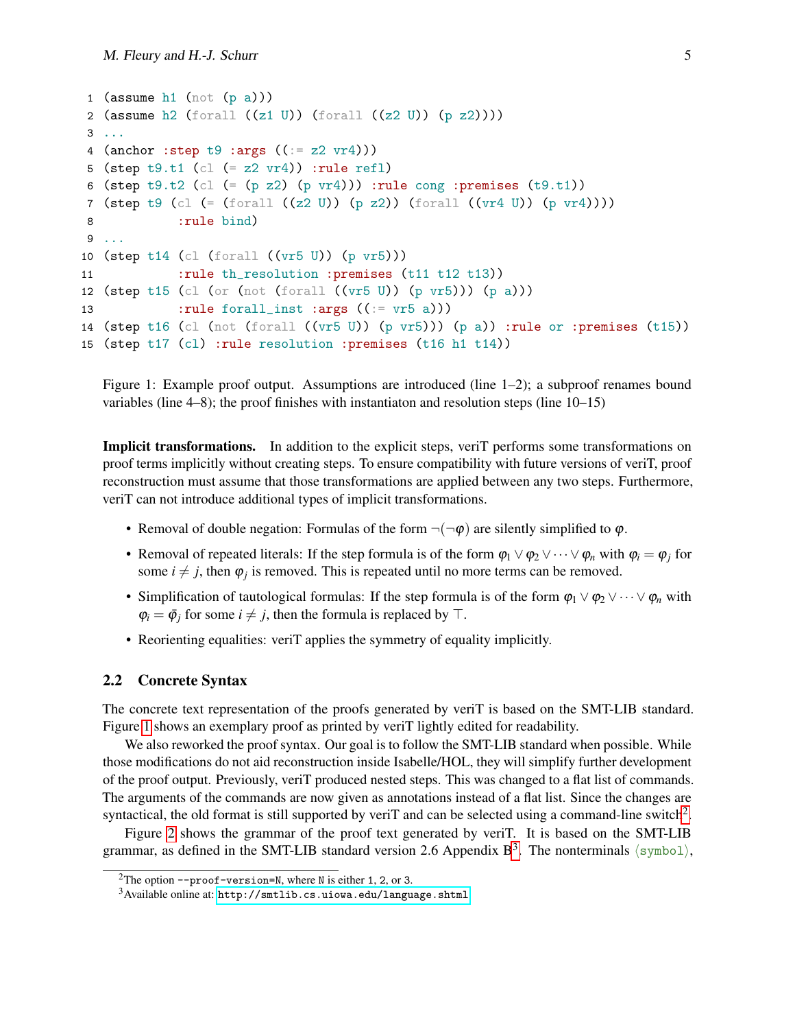```
1 (assume h1 (not (p a)))
2 (assume h2 (forall ((z1 \tU)) (forall ((z2 \tU)) (p z2))))3 ...
4 (anchor : step t9 : args ((:= z2 \text{ yr4})))5 (step t9.t1 (cl (= z2 \text{ yr4})) :rule refl)
6 (step t9.t2 (cl (= (p z2) (p v r4))) :rule cong :premises (t9.t1))
7 (step t9 (cl (= (forall ((z2 U)) (p z2)) (forall ((vr4 U)) (p vr4))))
8 :rule bind)
9 ...
10 (step t14 (cl (forall ((vr5 U)) (p vr5)))
11 :rule th_resolution :premises (t11 t12 t13))
12 (step t15 (cl (or (not (forall ((vr5 \tU)) (p vr5))) (p a)))
13 :rule forall_inst :args ((:= v r 5 a)))14 (step t16 (cl (not (forall ((vr5 \tU)) (p vr5))) (p a)) :rule or :premises (t15))
15 (step t17 (cl) :rule resolution :premises (t16 h1 t14))
```
<span id="page-4-0"></span>Figure 1: Example proof output. Assumptions are introduced (line 1–2); a subproof renames bound variables (line 4–8); the proof finishes with instantiaton and resolution steps (line 10–15)

Implicit transformations. In addition to the explicit steps, veriT performs some transformations on proof terms implicitly without creating steps. To ensure compatibility with future versions of veriT, proof reconstruction must assume that those transformations are applied between any two steps. Furthermore, veriT can not introduce additional types of implicit transformations.

- Removal of double negation: Formulas of the form  $\neg(\neg \varphi)$  are silently simplified to  $\varphi$ .
- Removal of repeated literals: If the step formula is of the form  $\varphi_1 \vee \varphi_2 \vee \cdots \vee \varphi_n$  with  $\varphi_i = \varphi_i$  for some  $i \neq j$ , then  $\varphi_j$  is removed. This is repeated until no more terms can be removed.
- Simplification of tautological formulas: If the step formula is of the form  $\varphi_1 \vee \varphi_2 \vee \cdots \vee \varphi_n$  with  $\varphi_i = \bar{\varphi}_i$  for some  $i \neq j$ , then the formula is replaced by  $\top$ .
- Reorienting equalities: veriT applies the symmetry of equality implicitly.

#### 2.2 Concrete Syntax

The concrete text representation of the proofs generated by veriT is based on the SMT-LIB standard. Figure [1](#page-4-0) shows an exemplary proof as printed by veriT lightly edited for readability.

We also reworked the proof syntax. Our goal is to follow the SMT-LIB standard when possible. While those modifications do not aid reconstruction inside Isabelle/HOL, they will simplify further development of the proof output. Previously, veriT produced nested steps. This was changed to a flat list of commands. The arguments of the commands are now given as annotations instead of a flat list. Since the changes are syntactical, the old format is still supported by veriT and can be selected using a command-line switch<sup>[2](#page-4-1)</sup>.

Figure [2](#page-5-0) shows the grammar of the proof text generated by veriT. It is based on the SMT-LIB grammar, as defined in the SMT-LIB standard version 2.6 Appendix  $B^3$  $B^3$ . The nonterminals  $\langle \text{symbol} \rangle$ ,

<span id="page-4-1"></span><sup>&</sup>lt;sup>2</sup>The option  $\text{-proof-version=N}$ , where N is either 1, 2, or 3.

<span id="page-4-2"></span> $3A$ vailable online at: <http://smtlib.cs.uiowa.edu/language.shtml>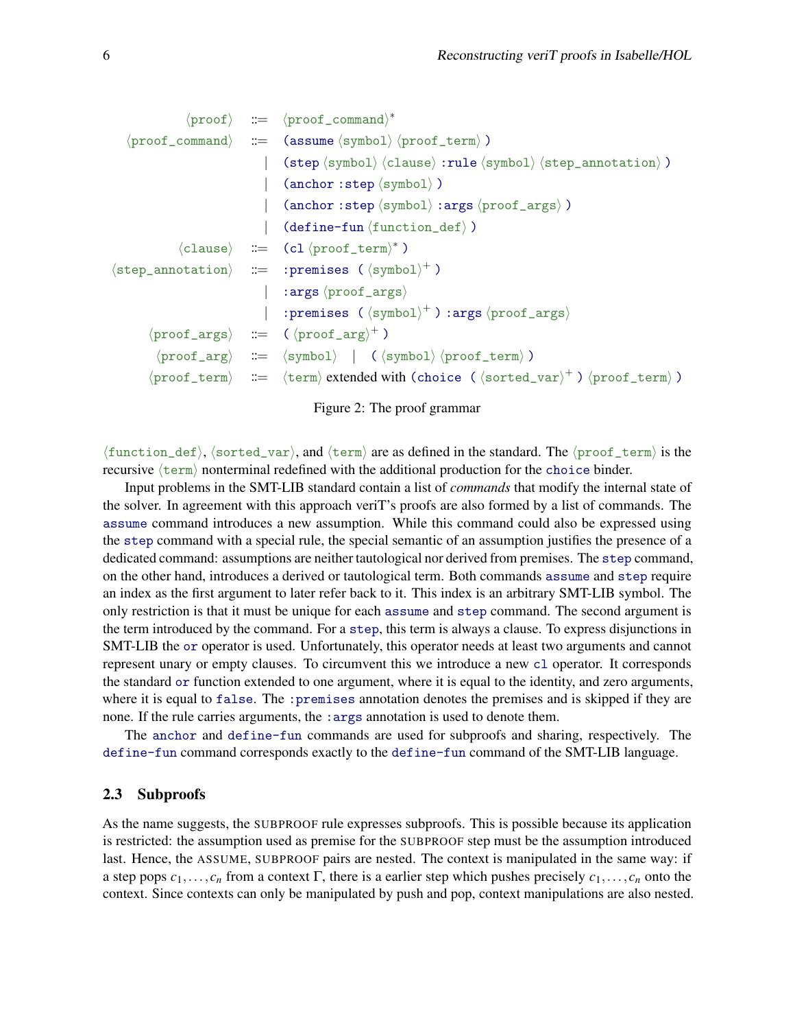$$
\langle proof \rangle ::= \langle proof\_command \rangle^*
$$
\n
$$
\langle proof\_command \rangle| ::= \langle assume \langle symbol \rangle \langle proof\_term \rangle)
$$
\n
$$
| \langle step \langle symbol \rangle \langle clause \rangle : rule \langle symbol \rangle \langle step\_annotation \rangle)
$$
\n
$$
| \langle anchor:step \langle symbol \rangle)
$$
\n
$$
| \langle anchor:step \langle symbol \rangle
$$
\n
$$
| \langle anchor:step \langle symbol \rangle
$$
\n
$$
| \langle define-fun \langle function\_def \rangle
$$
\n
$$
| \langle close \rangle ::= \langle cl \langle proof\_term \rangle^*
$$
\n
$$
\langle step\_annotation \rangle ::= \langle performbest \rangle^*
$$
\n
$$
| \langle step \rangle
$$
\n
$$
| \langle step \rangle
$$
\n
$$
| \langle step \rangle
$$
\n
$$
| \langle step \rangle
$$
\n
$$
| \langle foroff\_args \rangle
$$
\n
$$
| \langle proof\_args \rangle
$$
\n
$$
| \langle proof\_args \rangle
$$
\n
$$
| \langle proof\_args \rangle
$$
\n
$$
| \langle proof\_args \rangle
$$
\n
$$
| \langle proof\_args \rangle
$$
\n
$$
| \langle proof\_args \rangle
$$
\n
$$
| \langle proof\_args \rangle
$$
\n
$$
| \langle proof\_arg \rangle^+
$$
\n
$$
| \langle proof\_term \rangle
$$
\n
$$
| \langle foroff\_term \rangle
$$
\n
$$
| \langle formof\_term \rangle
$$
\n
$$
| \langle foroff\_term \rangle
$$
\n
$$
| \langle foroff\_term \rangle
$$
\n
$$
| \langle foroff\_term \rangle
$$
\n
$$
| \langle foroff\_term \rangle
$$
\n
$$
| \langle foroff\_term \rangle
$$
\n
$$
| \langle foroff\_term \rangle
$$
\n
$$
| \langle foroff\_term \rangle
$$
\n
$$
| \langle foroff\_term \rangle
$$
\n
$$
| \langle foroff\_term \rangle
$$
\n
$$
| \langle foroff\_term \rangle
$$
\n
$$
| \langle foroff\_term \rangle
$$
\n
$$
| \langle foroff\_term \rangle
$$
\n
$$
| \langle foroff\_term \rangle
$$
\n<

Figure 2: The proof grammar

<span id="page-5-0"></span> $\{\text{function\_def}\}, \{\text{sorted\_var}\}, \text{and } \{\text{term}\} \text{ are as defined in the standard. The } \text{proof\_term} \text{ is the }$ recursive  $\langle \text{term} \rangle$  nonterminal redefined with the additional production for the choice binder.

Input problems in the SMT-LIB standard contain a list of *commands* that modify the internal state of the solver. In agreement with this approach veriT's proofs are also formed by a list of commands. The assume command introduces a new assumption. While this command could also be expressed using the step command with a special rule, the special semantic of an assumption justifies the presence of a dedicated command: assumptions are neither tautological nor derived from premises. The step command, on the other hand, introduces a derived or tautological term. Both commands assume and step require an index as the first argument to later refer back to it. This index is an arbitrary SMT-LIB symbol. The only restriction is that it must be unique for each assume and step command. The second argument is the term introduced by the command. For a step, this term is always a clause. To express disjunctions in SMT-LIB the or operator is used. Unfortunately, this operator needs at least two arguments and cannot represent unary or empty clauses. To circumvent this we introduce a new cl operator. It corresponds the standard or function extended to one argument, where it is equal to the identity, and zero arguments, where it is equal to false. The : premises annotation denotes the premises and is skipped if they are none. If the rule carries arguments, the : args annotation is used to denote them.

The anchor and define-fun commands are used for subproofs and sharing, respectively. The define-fun command corresponds exactly to the define-fun command of the SMT-LIB language.

#### 2.3 Subproofs

As the name suggests, the SUBPROOF rule expresses subproofs. This is possible because its application is restricted: the assumption used as premise for the SUBPROOF step must be the assumption introduced last. Hence, the ASSUME, SUBPROOF pairs are nested. The context is manipulated in the same way: if a step pops *c*1,..., *c<sup>n</sup>* from a context Γ, there is a earlier step which pushes precisely *c*1,..., *c<sup>n</sup>* onto the context. Since contexts can only be manipulated by push and pop, context manipulations are also nested.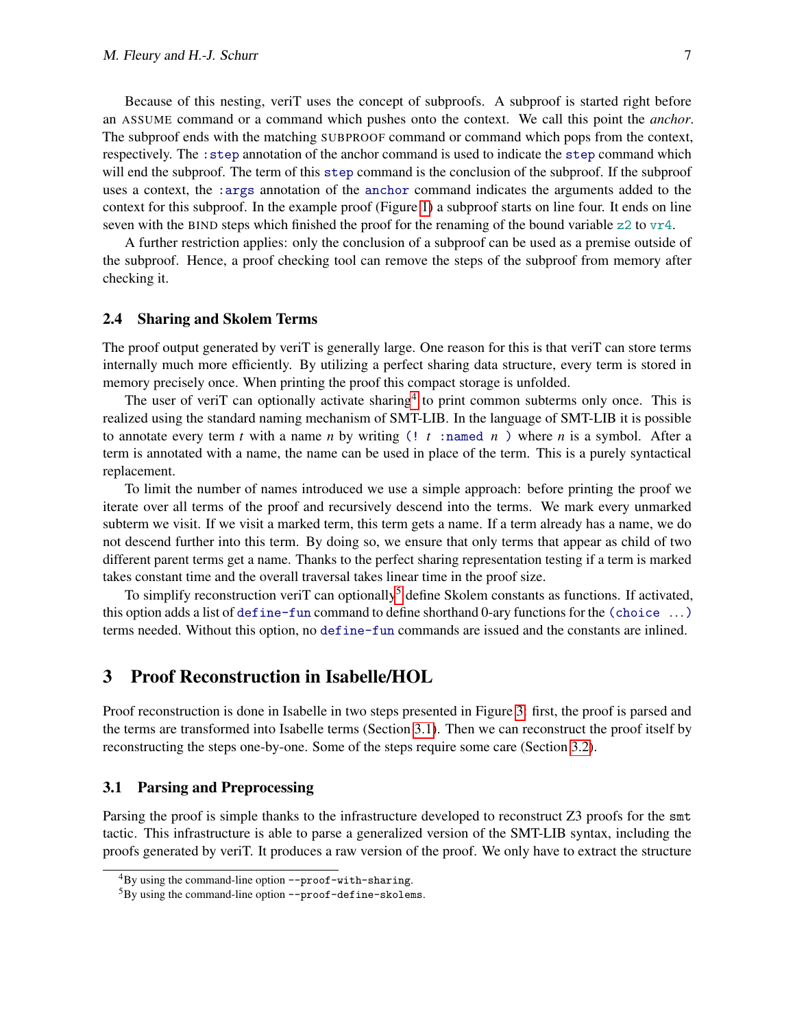Because of this nesting, veriT uses the concept of subproofs. A subproof is started right before an ASSUME command or a command which pushes onto the context. We call this point the *anchor*. The subproof ends with the matching SUBPROOF command or command which pops from the context, respectively. The :step annotation of the anchor command is used to indicate the step command which will end the subproof. The term of this step command is the conclusion of the subproof. If the subproof uses a context, the :args annotation of the anchor command indicates the arguments added to the context for this subproof. In the example proof (Figure [1\)](#page-4-0) a subproof starts on line four. It ends on line seven with the BIND steps which finished the proof for the renaming of the bound variable  $z_2$  to  $v_1 + 4$ .

A further restriction applies: only the conclusion of a subproof can be used as a premise outside of the subproof. Hence, a proof checking tool can remove the steps of the subproof from memory after checking it.

#### 2.4 Sharing and Skolem Terms

The proof output generated by veriT is generally large. One reason for this is that veriT can store terms internally much more efficiently. By utilizing a perfect sharing data structure, every term is stored in memory precisely once. When printing the proof this compact storage is unfolded.

The user of veriT can optionally activate sharing<sup>[4](#page-6-0)</sup> to print common subterms only once. This is realized using the standard naming mechanism of SMT-LIB. In the language of SMT-LIB it is possible to annotate every term *t* with a name *n* by writing  $($ !  $t$  :named *n* ) where *n* is a symbol. After a term is annotated with a name, the name can be used in place of the term. This is a purely syntactical replacement.

To limit the number of names introduced we use a simple approach: before printing the proof we iterate over all terms of the proof and recursively descend into the terms. We mark every unmarked subterm we visit. If we visit a marked term, this term gets a name. If a term already has a name, we do not descend further into this term. By doing so, we ensure that only terms that appear as child of two different parent terms get a name. Thanks to the perfect sharing representation testing if a term is marked takes constant time and the overall traversal takes linear time in the proof size.

To simplify reconstruction veriT can optionally<sup>[5](#page-6-1)</sup> define Skolem constants as functions. If activated, this option adds a list of define-fun command to define shorthand 0-ary functions for the (choice ...) terms needed. Without this option, no define-fun commands are issued and the constants are inlined.

### 3 Proof Reconstruction in Isabelle/HOL

Proof reconstruction is done in Isabelle in two steps presented in Figure [3:](#page-7-0) first, the proof is parsed and the terms are transformed into Isabelle terms (Section [3.1\)](#page-6-2). Then we can reconstruct the proof itself by reconstructing the steps one-by-one. Some of the steps require some care (Section [3.2\)](#page-8-0).

#### <span id="page-6-2"></span>3.1 Parsing and Preprocessing

Parsing the proof is simple thanks to the infrastructure developed to reconstruct Z3 proofs for the smt tactic. This infrastructure is able to parse a generalized version of the SMT-LIB syntax, including the proofs generated by veriT. It produces a raw version of the proof. We only have to extract the structure

<span id="page-6-0"></span> ${}^{4}$ By using the command-line option --proof-with-sharing.

<span id="page-6-1"></span><sup>5</sup>By using the command-line option --proof-define-skolems.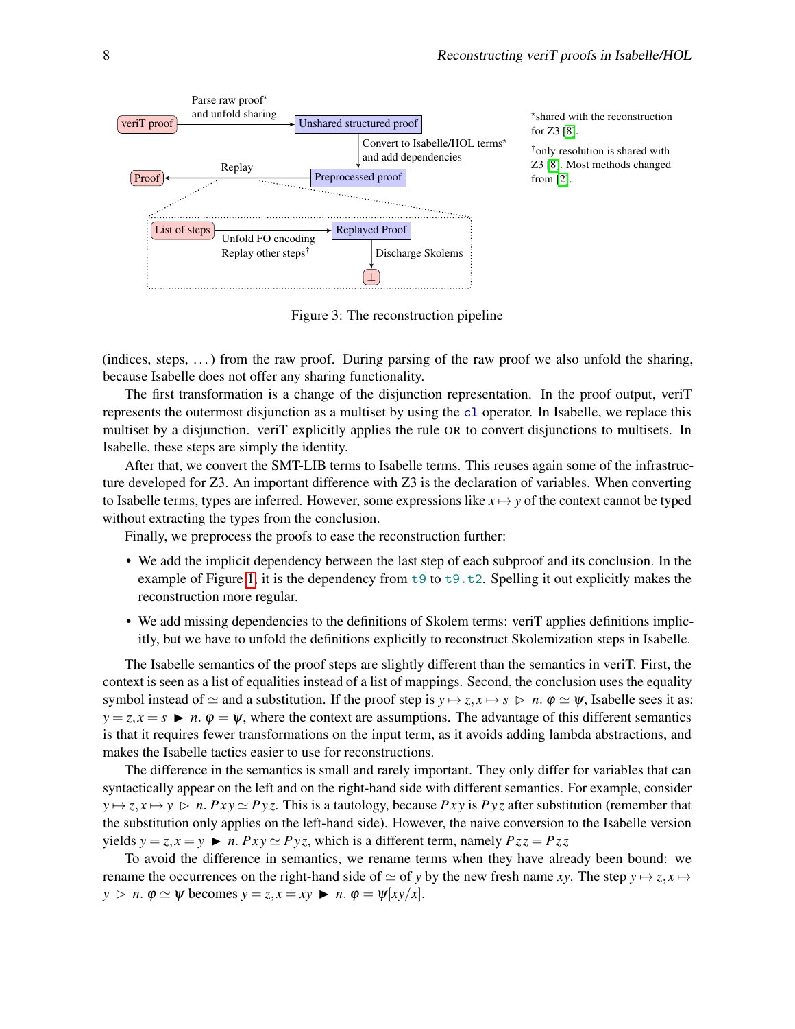

<span id="page-7-0"></span>Figure 3: The reconstruction pipeline

(indices, steps,  $\dots$ ) from the raw proof. During parsing of the raw proof we also unfold the sharing, because Isabelle does not offer any sharing functionality.

The first transformation is a change of the disjunction representation. In the proof output, veriT represents the outermost disjunction as a multiset by using the cl operator. In Isabelle, we replace this multiset by a disjunction. veriT explicitly applies the rule OR to convert disjunctions to multisets. In Isabelle, these steps are simply the identity.

After that, we convert the SMT-LIB terms to Isabelle terms. This reuses again some of the infrastructure developed for Z3. An important difference with Z3 is the declaration of variables. When converting to Isabelle terms, types are inferred. However, some expressions like  $x \mapsto y$  of the context cannot be typed without extracting the types from the conclusion.

Finally, we preprocess the proofs to ease the reconstruction further:

- We add the implicit dependency between the last step of each subproof and its conclusion. In the example of Figure [1,](#page-4-0) it is the dependency from  $t_9$  to  $t_9$ .t2. Spelling it out explicitly makes the reconstruction more regular.
- We add missing dependencies to the definitions of Skolem terms: veriT applies definitions implicitly, but we have to unfold the definitions explicitly to reconstruct Skolemization steps in Isabelle.

The Isabelle semantics of the proof steps are slightly different than the semantics in veriT. First, the context is seen as a list of equalities instead of a list of mappings. Second, the conclusion uses the equality symbol instead of  $\simeq$  and a substitution. If the proof step is  $y \mapsto z, x \mapsto s \triangleright n$ .  $\varphi \simeq \psi$ , Isabelle sees it as:  $y = z, x = s$   $\triangleright$  *n*.  $\varphi = \psi$ , where the context are assumptions. The advantage of this different semantics is that it requires fewer transformations on the input term, as it avoids adding lambda abstractions, and makes the Isabelle tactics easier to use for reconstructions.

The difference in the semantics is small and rarely important. They only differ for variables that can syntactically appear on the left and on the right-hand side with different semantics. For example, consider  $y \mapsto z, x \mapsto y \ge n$ . *Pxy*  $\simeq Pyz$ . This is a tautology, because *Pxy* is *Pyz* after substitution (remember that the substitution only applies on the left-hand side). However, the naive conversion to the Isabelle version yields  $y = z, x = y$   $\triangleright$  *n. Pxy*  $\simeq$  *Pyz*, which is a different term, namely  $Pzz = Pzz$ 

To avoid the difference in semantics, we rename terms when they have already been bound: we rename the occurrences on the right-hand side of  $\simeq$  of *y* by the new fresh name *xy*. The step  $y \mapsto z, x \mapsto$  $y \triangleright n$ .  $\varphi \simeq \psi$  becomes  $y = z, x = xy \blacktriangleright n$ .  $\varphi = \psi [xy/x]$ .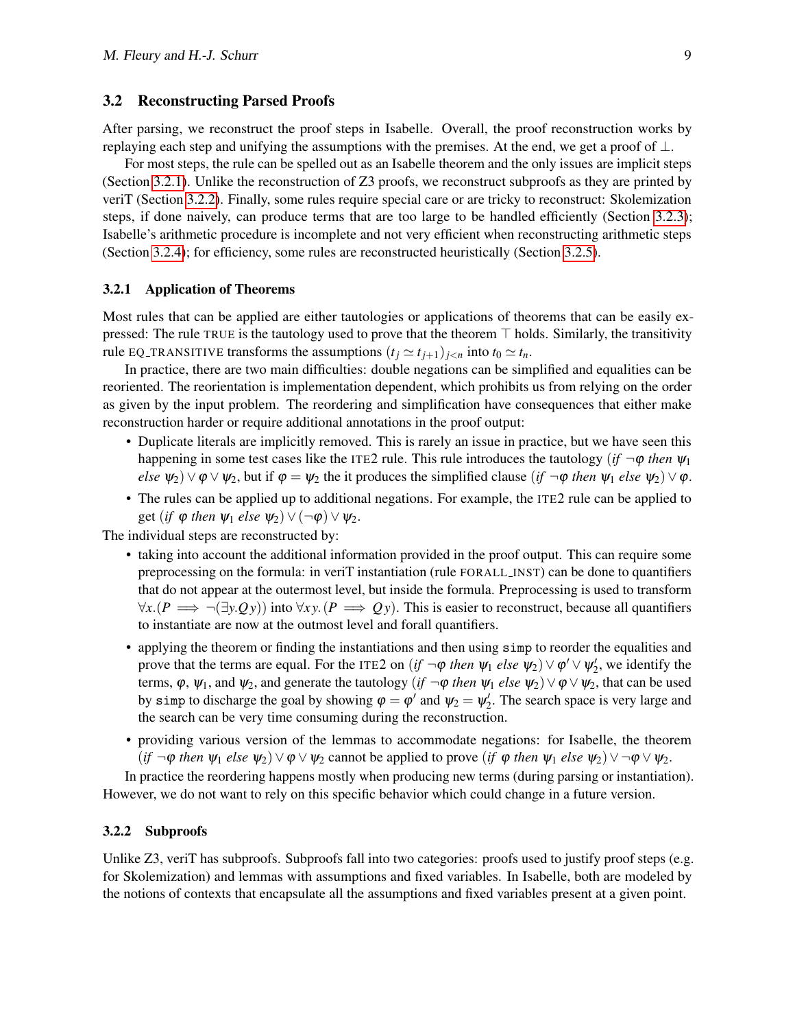#### <span id="page-8-0"></span>3.2 Reconstructing Parsed Proofs

After parsing, we reconstruct the proof steps in Isabelle. Overall, the proof reconstruction works by replaying each step and unifying the assumptions with the premises. At the end, we get a proof of  $\perp$ .

For most steps, the rule can be spelled out as an Isabelle theorem and the only issues are implicit steps (Section [3.2.1\)](#page-8-1). Unlike the reconstruction of Z3 proofs, we reconstruct subproofs as they are printed by veriT (Section [3.2.2\)](#page-8-2). Finally, some rules require special care or are tricky to reconstruct: Skolemization steps, if done naively, can produce terms that are too large to be handled efficiently (Section [3.2.3\)](#page-9-1); Isabelle's arithmetic procedure is incomplete and not very efficient when reconstructing arithmetic steps (Section [3.2.4\)](#page-9-0); for efficiency, some rules are reconstructed heuristically (Section [3.2.5\)](#page-10-0).

#### <span id="page-8-1"></span>3.2.1 Application of Theorems

Most rules that can be applied are either tautologies or applications of theorems that can be easily expressed: The rule TRUE is the tautology used to prove that the theorem  $\top$  holds. Similarly, the transitivity rule EQ\_TRANSITIVE transforms the assumptions  $(t_i \approx t_{i+1})_{i \leq n}$  into  $t_0 \approx t_n$ .

In practice, there are two main difficulties: double negations can be simplified and equalities can be reoriented. The reorientation is implementation dependent, which prohibits us from relying on the order as given by the input problem. The reordering and simplification have consequences that either make reconstruction harder or require additional annotations in the proof output:

- Duplicate literals are implicitly removed. This is rarely an issue in practice, but we have seen this happening in some test cases like the ITE2 rule. This rule introduces the tautology (*if*  $\neg \varphi$  *then*  $\Psi_1$  $else \psi_2 \rangle \lor \phi \lor \psi_2$ , but if  $\phi = \psi_2$  the it produces the simplified clause (*if*  $\neg \phi$  *then*  $\psi_1$  *else*  $\psi_2$ )  $\lor \phi$ .
- The rules can be applied up to additional negations. For example, the ITE2 rule can be applied to get (*if*  $\varphi$  *then*  $\psi_1$  *else*  $\psi_2$ )  $\vee$   $(\neg \varphi)$   $\vee \psi_2$ .

The individual steps are reconstructed by:

- taking into account the additional information provided in the proof output. This can require some preprocessing on the formula: in veriT instantiation (rule FORALL INST) can be done to quantifiers that do not appear at the outermost level, but inside the formula. Preprocessing is used to transform  $\forall x . (P \implies \neg(\exists y . Q y))$  into  $\forall xy . (P \implies Q y)$ . This is easier to reconstruct, because all quantifiers to instantiate are now at the outmost level and forall quantifiers.
- applying the theorem or finding the instantiations and then using simp to reorder the equalities and prove that the terms are equal. For the ITE2 on  $(if \neg \phi \ then \ \psi_1 \ else \ \psi_2) \lor \phi' \lor \psi'_2$ , we identify the terms,  $\varphi$ ,  $\psi_1$ , and  $\psi_2$ , and generate the tautology (*if*  $\neg \varphi$  *then*  $\psi_1$  *else*  $\psi_2$ )  $\lor \varphi \lor \psi_2$ , that can be used by simp to discharge the goal by showing  $\varphi = \varphi'$  and  $\psi_2 = \psi'_2$ . The search space is very large and the search can be very time consuming during the reconstruction.
- providing various version of the lemmas to accommodate negations: for Isabelle, the theorem  $(if \neg \phi \ then \ \psi_1 \ else \ \psi_2) \lor \phi \lor \psi_2$  cannot be applied to prove (*if*  $\phi$  *then*  $\psi_1 \ else \ \psi_2) \lor \neg \phi \lor \psi_2$ .

In practice the reordering happens mostly when producing new terms (during parsing or instantiation). However, we do not want to rely on this specific behavior which could change in a future version.

#### <span id="page-8-2"></span>3.2.2 Subproofs

Unlike Z3, veriT has subproofs. Subproofs fall into two categories: proofs used to justify proof steps (e.g. for Skolemization) and lemmas with assumptions and fixed variables. In Isabelle, both are modeled by the notions of contexts that encapsulate all the assumptions and fixed variables present at a given point.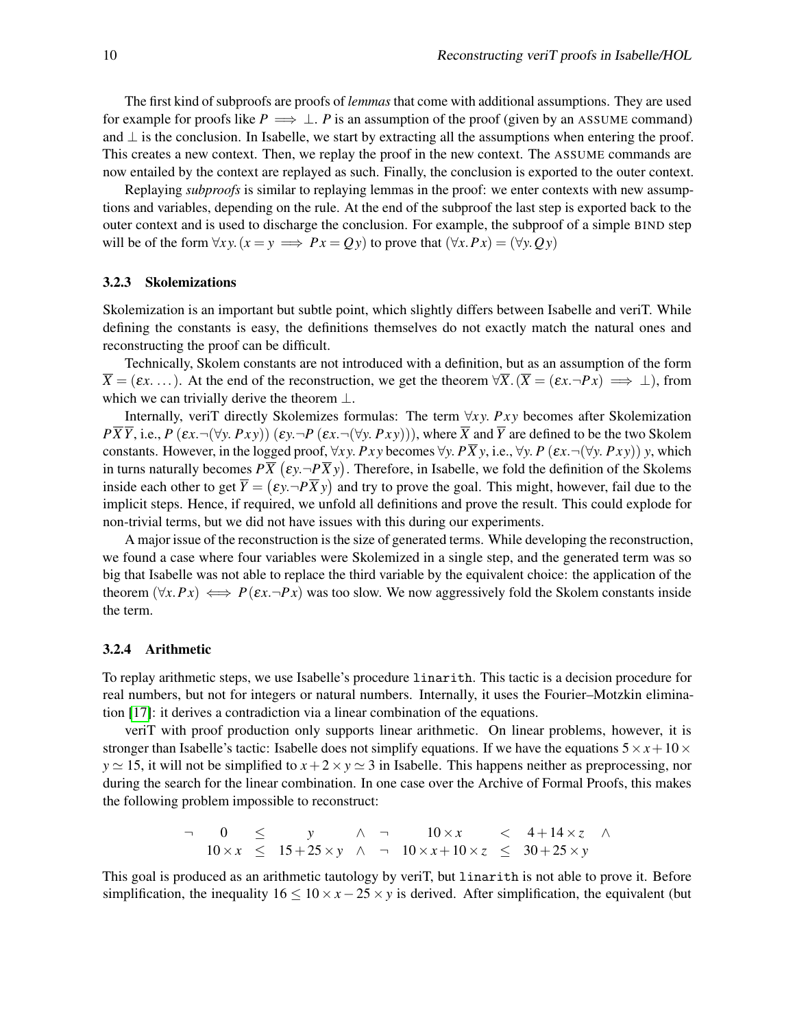The first kind of subproofs are proofs of *lemmas* that come with additional assumptions. They are used for example for proofs like  $P \implies \perp P$  is an assumption of the proof (given by an ASSUME command) and  $\perp$  is the conclusion. In Isabelle, we start by extracting all the assumptions when entering the proof. This creates a new context. Then, we replay the proof in the new context. The ASSUME commands are now entailed by the context are replayed as such. Finally, the conclusion is exported to the outer context.

Replaying *subproofs* is similar to replaying lemmas in the proof: we enter contexts with new assumptions and variables, depending on the rule. At the end of the subproof the last step is exported back to the outer context and is used to discharge the conclusion. For example, the subproof of a simple BIND step will be of the form  $\forall xy. (x = y \implies Px = Qy)$  to prove that  $(\forall x. Px) = (\forall y. Qy)$ 

#### <span id="page-9-1"></span>3.2.3 Skolemizations

Skolemization is an important but subtle point, which slightly differs between Isabelle and veriT. While defining the constants is easy, the definitions themselves do not exactly match the natural ones and reconstructing the proof can be difficult.

Technically, Skolem constants are not introduced with a definition, but as an assumption of the form  $\overline{X} = (\varepsilon x, \dots)$ . At the end of the reconstruction, we get the theorem  $\forall \overline{X} \cdot (\overline{X} = (\varepsilon x, \neg Px) \implies \bot)$ , from which we can trivially derive the theorem  $\perp$ .

Internally, veriT directly Skolemizes formulas: The term ∀*x y*. *P x y* becomes after Skolemization  $P\overline{X}\overline{Y}$ , i.e., *P* ( $\epsilon x$ ,  $\neg(\forall y. Pxy)$ ) ( $\epsilon y$ ,  $\neg P(\epsilon x. \neg(\forall y. Pxy))$ ), where  $\overline{X}$  and  $\overline{Y}$  are defined to be the two Skolem constants. However, in the logged proof,  $\forall x \, y$ .  $Pxy$  becomes  $\forall y$ .  $P\overline{X}y$ , i.e.,  $\forall y$ .  $P(\varepsilon x \neg(\forall y \neg Pxy)) y$ , which in turns naturally becomes  $P\overline{X}\,( \epsilon y . \neg P \overline{X} y).$  Therefore, in Isabelle, we fold the definition of the Skolems inside each other to get  $\overline{Y} = (\varepsilon y \cdot \neg P \overline{X} y)$  and try to prove the goal. This might, however, fail due to the implicit steps. Hence, if required, we unfold all definitions and prove the result. This could explode for non-trivial terms, but we did not have issues with this during our experiments.

A major issue of the reconstruction is the size of generated terms. While developing the reconstruction, we found a case where four variables were Skolemized in a single step, and the generated term was so big that Isabelle was not able to replace the third variable by the equivalent choice: the application of the theorem  $(\forall x.Px) \iff P(\varepsilon x.\neg Px)$  was too slow. We now aggressively fold the Skolem constants inside the term.

#### <span id="page-9-0"></span>3.2.4 Arithmetic

To replay arithmetic steps, we use Isabelle's procedure linarith. This tactic is a decision procedure for real numbers, but not for integers or natural numbers. Internally, it uses the Fourier–Motzkin elimination [\[17\]](#page-14-1): it derives a contradiction via a linear combination of the equations.

veriT with proof production only supports linear arithmetic. On linear problems, however, it is stronger than Isabelle's tactic: Isabelle does not simplify equations. If we have the equations  $5 \times x + 10 \times$  $y \approx 15$ , it will not be simplified to  $x + 2 \times y \approx 3$  in Isabelle. This happens neither as preprocessing, nor during the search for the linear combination. In one case over the Archive of Formal Proofs, this makes the following problem impossible to reconstruct:

$$
\begin{array}{ccccccccc}\n- & 0 & \leq & y & \wedge & \neg & 10 \times x & < & 4 + 14 \times z & \wedge \\
10 \times x & \leq & 15 + 25 \times y & \wedge & \neg & 10 \times x + 10 \times z & \leq & 30 + 25 \times y\n\end{array}
$$

This goal is produced as an arithmetic tautology by veriT, but linarith is not able to prove it. Before simplification, the inequality  $16 \le 10 \times x - 25 \times y$  is derived. After simplification, the equivalent (but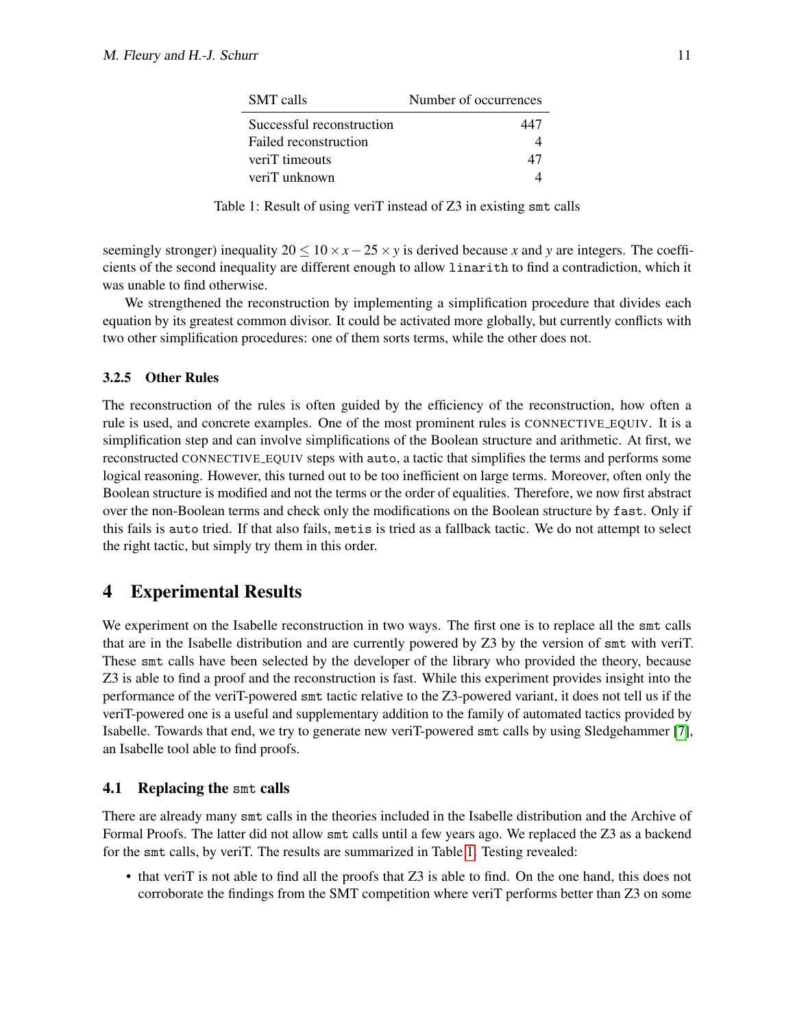<span id="page-10-1"></span>

| <b>SMT</b> calls          | Number of occurrences |
|---------------------------|-----------------------|
| Successful reconstruction | 447                   |
| Failed reconstruction     |                       |
| veriT timeouts            | 47                    |
| veriT unknown             |                       |

Table 1: Result of using veriT instead of Z3 in existing smt calls

seemingly stronger) inequality  $20 \leq 10 \times x - 25 \times y$  is derived because *x* and *y* are integers. The coefficients of the second inequality are different enough to allow linarith to find a contradiction, which it was unable to find otherwise.

We strengthened the reconstruction by implementing a simplification procedure that divides each equation by its greatest common divisor. It could be activated more globally, but currently conflicts with two other simplification procedures: one of them sorts terms, while the other does not.

### <span id="page-10-0"></span>3.2.5 Other Rules

The reconstruction of the rules is often guided by the efficiency of the reconstruction, how often a rule is used, and concrete examples. One of the most prominent rules is CONNECTIVE EQUIV. It is a simplification step and can involve simplifications of the Boolean structure and arithmetic. At first, we reconstructed CONNECTIVE EQUIV steps with auto, a tactic that simplifies the terms and performs some logical reasoning. However, this turned out to be too inefficient on large terms. Moreover, often only the Boolean structure is modified and not the terms or the order of equalities. Therefore, we now first abstract over the non-Boolean terms and check only the modifications on the Boolean structure by fast. Only if this fails is auto tried. If that also fails, metis is tried as a fallback tactic. We do not attempt to select the right tactic, but simply try them in this order.

## 4 Experimental Results

We experiment on the Isabelle reconstruction in two ways. The first one is to replace all the smt calls that are in the Isabelle distribution and are currently powered by Z3 by the version of smt with veriT. These smt calls have been selected by the developer of the library who provided the theory, because Z3 is able to find a proof and the reconstruction is fast. While this experiment provides insight into the performance of the veriT-powered smt tactic relative to the Z3-powered variant, it does not tell us if the veriT-powered one is a useful and supplementary addition to the family of automated tactics provided by Isabelle. Towards that end, we try to generate new veriT-powered smt calls by using Sledgehammer [\[7\]](#page-13-9), an Isabelle tool able to find proofs.

### 4.1 Replacing the smt calls

There are already many smt calls in the theories included in the Isabelle distribution and the Archive of Formal Proofs. The latter did not allow smt calls until a few years ago. We replaced the Z3 as a backend for the smt calls, by veriT. The results are summarized in Table [1.](#page-10-1) Testing revealed:

• that veriT is not able to find all the proofs that Z3 is able to find. On the one hand, this does not corroborate the findings from the SMT competition where veriT performs better than Z3 on some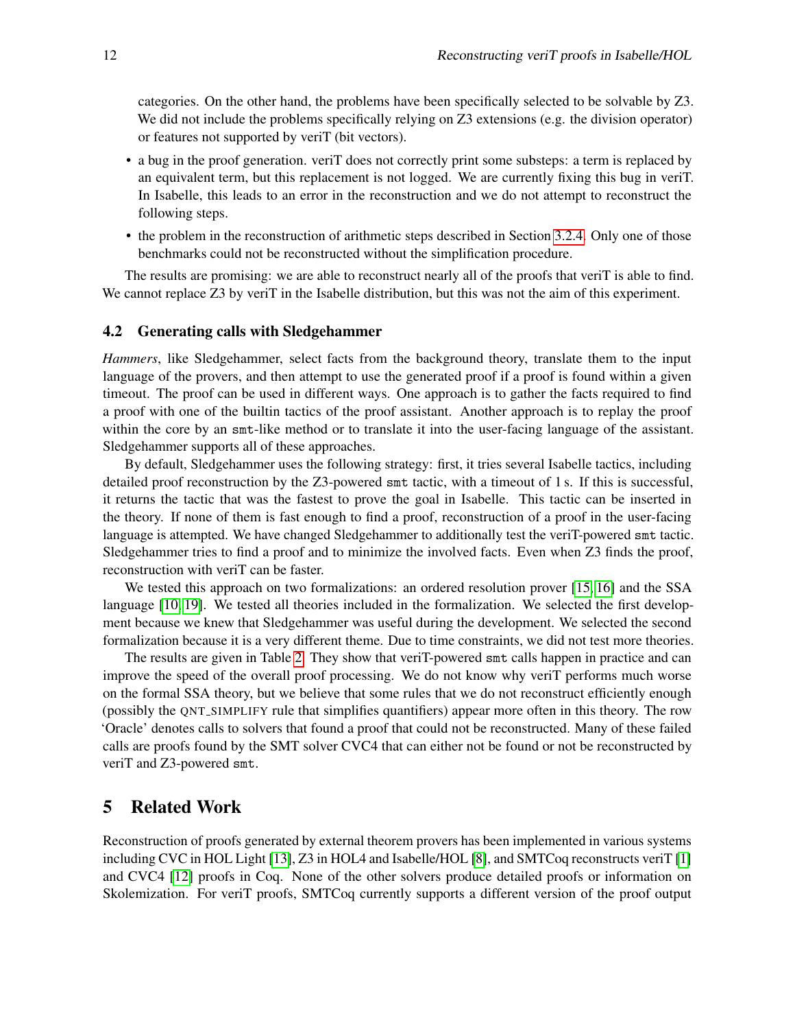categories. On the other hand, the problems have been specifically selected to be solvable by Z3. We did not include the problems specifically relying on Z3 extensions (e.g. the division operator) or features not supported by veriT (bit vectors).

- a bug in the proof generation. veriT does not correctly print some substeps: a term is replaced by an equivalent term, but this replacement is not logged. We are currently fixing this bug in veriT. In Isabelle, this leads to an error in the reconstruction and we do not attempt to reconstruct the following steps.
- the problem in the reconstruction of arithmetic steps described in Section [3.2.4.](#page-9-0) Only one of those benchmarks could not be reconstructed without the simplification procedure.

The results are promising: we are able to reconstruct nearly all of the proofs that veriT is able to find. We cannot replace Z3 by veriT in the Isabelle distribution, but this was not the aim of this experiment.

#### 4.2 Generating calls with Sledgehammer

*Hammers*, like Sledgehammer, select facts from the background theory, translate them to the input language of the provers, and then attempt to use the generated proof if a proof is found within a given timeout. The proof can be used in different ways. One approach is to gather the facts required to find a proof with one of the builtin tactics of the proof assistant. Another approach is to replay the proof within the core by an smt-like method or to translate it into the user-facing language of the assistant. Sledgehammer supports all of these approaches.

By default, Sledgehammer uses the following strategy: first, it tries several Isabelle tactics, including detailed proof reconstruction by the Z3-powered smt tactic, with a timeout of 1 s. If this is successful, it returns the tactic that was the fastest to prove the goal in Isabelle. This tactic can be inserted in the theory. If none of them is fast enough to find a proof, reconstruction of a proof in the user-facing language is attempted. We have changed Sledgehammer to additionally test the veriT-powered smt tactic. Sledgehammer tries to find a proof and to minimize the involved facts. Even when Z3 finds the proof, reconstruction with veriT can be faster.

We tested this approach on two formalizations: an ordered resolution prover [\[15,](#page-14-2) [16\]](#page-14-3) and the SSA language [\[10,](#page-13-10) [19\]](#page-14-4). We tested all theories included in the formalization. We selected the first development because we knew that Sledgehammer was useful during the development. We selected the second formalization because it is a very different theme. Due to time constraints, we did not test more theories.

The results are given in Table [2.](#page-12-0) They show that veriT-powered smt calls happen in practice and can improve the speed of the overall proof processing. We do not know why veriT performs much worse on the formal SSA theory, but we believe that some rules that we do not reconstruct efficiently enough (possibly the QNT SIMPLIFY rule that simplifies quantifiers) appear more often in this theory. The row 'Oracle' denotes calls to solvers that found a proof that could not be reconstructed. Many of these failed calls are proofs found by the SMT solver CVC4 that can either not be found or not be reconstructed by veriT and Z3-powered smt.

## 5 Related Work

Reconstruction of proofs generated by external theorem provers has been implemented in various systems including CVC in HOL Light [\[13\]](#page-13-11), Z3 in HOL4 and Isabelle/HOL [\[8\]](#page-13-1), and SMTCoq reconstructs veriT [\[1\]](#page-13-12) and CVC4 [\[12\]](#page-13-13) proofs in Coq. None of the other solvers produce detailed proofs or information on Skolemization. For veriT proofs, SMTCoq currently supports a different version of the proof output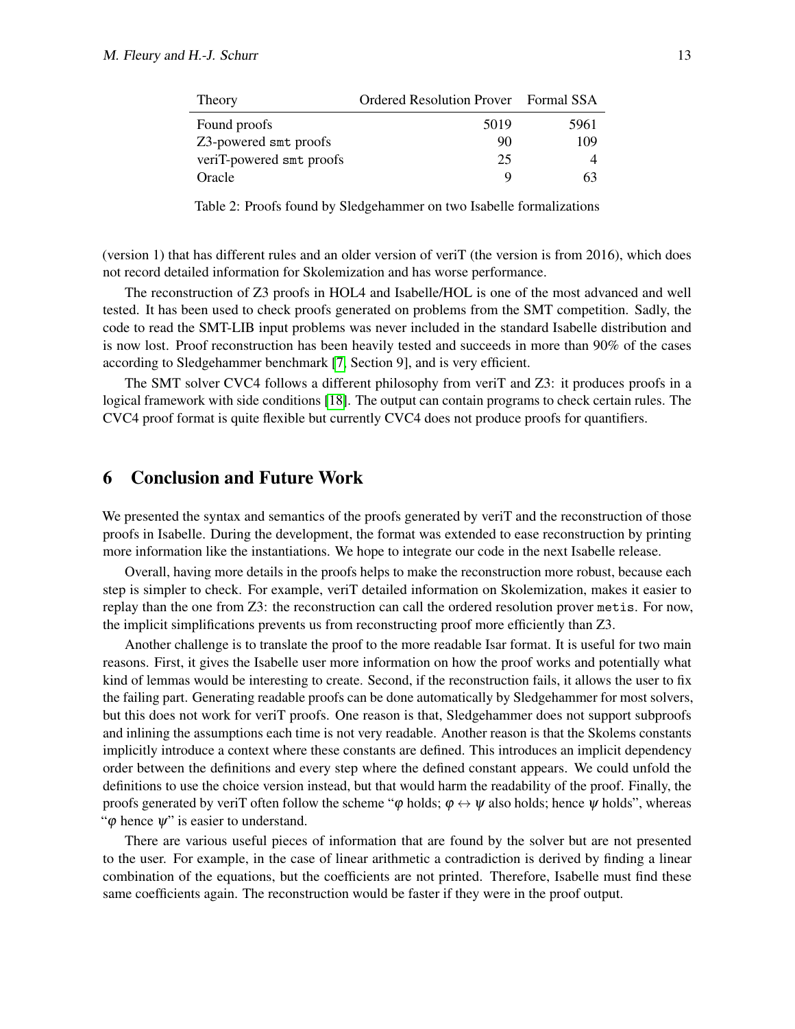| Theory                   | Ordered Resolution Prover Formal SSA |      |
|--------------------------|--------------------------------------|------|
| Found proofs             | 5019                                 | 5961 |
| Z3-powered smt proofs    | 90                                   | 109  |
| veriT-powered smt proofs | 25                                   |      |
| Oracle                   |                                      | 63   |

Table 2: Proofs found by Sledgehammer on two Isabelle formalizations

<span id="page-12-0"></span>(version 1) that has different rules and an older version of veriT (the version is from 2016), which does not record detailed information for Skolemization and has worse performance.

The reconstruction of Z3 proofs in HOL4 and Isabelle/HOL is one of the most advanced and well tested. It has been used to check proofs generated on problems from the SMT competition. Sadly, the code to read the SMT-LIB input problems was never included in the standard Isabelle distribution and is now lost. Proof reconstruction has been heavily tested and succeeds in more than 90% of the cases according to Sledgehammer benchmark [\[7,](#page-13-9) Section 9], and is very efficient.

The SMT solver CVC4 follows a different philosophy from veriT and Z3: it produces proofs in a logical framework with side conditions [\[18\]](#page-14-5). The output can contain programs to check certain rules. The CVC4 proof format is quite flexible but currently CVC4 does not produce proofs for quantifiers.

## 6 Conclusion and Future Work

We presented the syntax and semantics of the proofs generated by verity and the reconstruction of those proofs in Isabelle. During the development, the format was extended to ease reconstruction by printing more information like the instantiations. We hope to integrate our code in the next Isabelle release.

Overall, having more details in the proofs helps to make the reconstruction more robust, because each step is simpler to check. For example, veriT detailed information on Skolemization, makes it easier to replay than the one from Z3: the reconstruction can call the ordered resolution prover metis. For now, the implicit simplifications prevents us from reconstructing proof more efficiently than Z3.

Another challenge is to translate the proof to the more readable Isar format. It is useful for two main reasons. First, it gives the Isabelle user more information on how the proof works and potentially what kind of lemmas would be interesting to create. Second, if the reconstruction fails, it allows the user to fix the failing part. Generating readable proofs can be done automatically by Sledgehammer for most solvers, but this does not work for veriT proofs. One reason is that, Sledgehammer does not support subproofs and inlining the assumptions each time is not very readable. Another reason is that the Skolems constants implicitly introduce a context where these constants are defined. This introduces an implicit dependency order between the definitions and every step where the defined constant appears. We could unfold the definitions to use the choice version instead, but that would harm the readability of the proof. Finally, the proofs generated by veriT often follow the scheme " $\varphi$  holds;  $\varphi \leftrightarrow \psi$  also holds; hence  $\psi$  holds", whereas " $\varphi$  hence  $\psi$ " is easier to understand.

There are various useful pieces of information that are found by the solver but are not presented to the user. For example, in the case of linear arithmetic a contradiction is derived by finding a linear combination of the equations, but the coefficients are not printed. Therefore, Isabelle must find these same coefficients again. The reconstruction would be faster if they were in the proof output.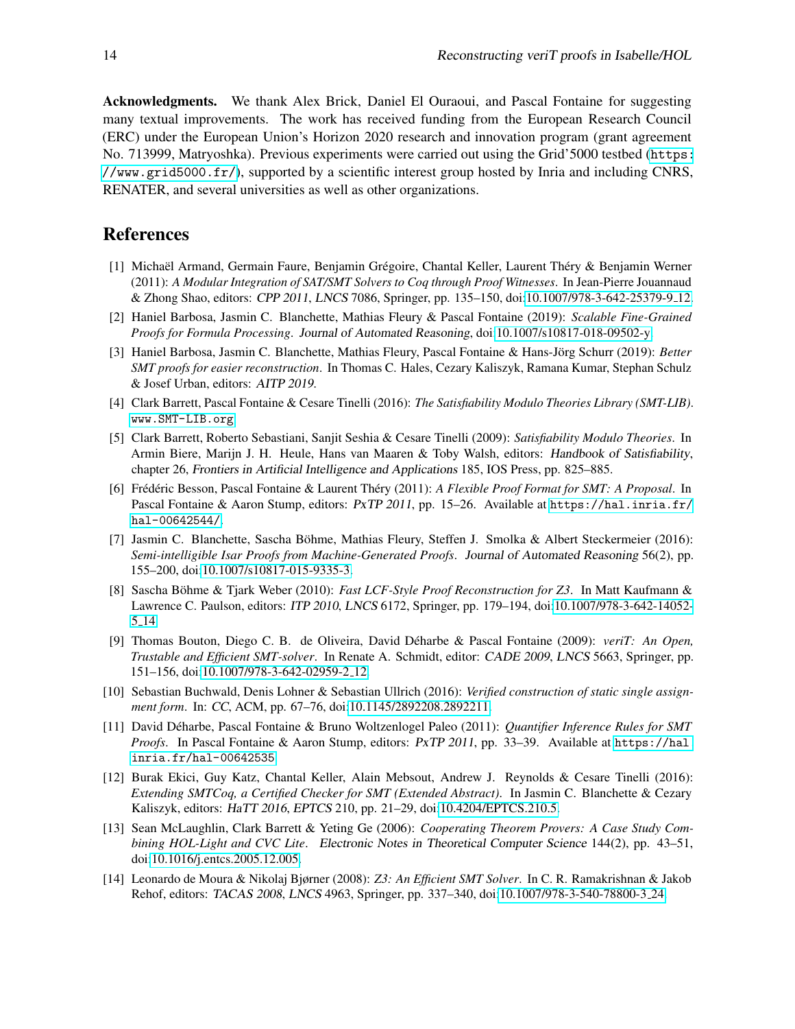Acknowledgments. We thank Alex Brick, Daniel El Ouraoui, and Pascal Fontaine for suggesting many textual improvements. The work has received funding from the European Research Council (ERC) under the European Union's Horizon 2020 research and innovation program (grant agreement No. 713999, Matryoshka). Previous experiments were carried out using the Grid'5000 testbed ([https:](https://www.grid5000.fr/) [//www.grid5000.fr/](https://www.grid5000.fr/)), supported by a scientific interest group hosted by Inria and including CNRS, RENATER, and several universities as well as other organizations.

## References

- <span id="page-13-12"></span>[1] Michaël Armand, Germain Faure, Benjamin Grégoire, Chantal Keller, Laurent Théry & Benjamin Werner (2011): *A Modular Integration of SAT/SMT Solvers to Coq through Proof Witnesses*. In Jean-Pierre Jouannaud & Zhong Shao, editors: CPP 2011, LNCS 7086, Springer, pp. 135–150, doi[:10.1007/978-3-642-25379-9](http://dx.doi.org/10.1007/978-3-642-25379-9_12) 12.
- <span id="page-13-4"></span>[2] Haniel Barbosa, Jasmin C. Blanchette, Mathias Fleury & Pascal Fontaine (2019): *Scalable Fine-Grained Proofs for Formula Processing*. Journal of Automated Reasoning, doi[:10.1007/s10817-018-09502-y.](http://dx.doi.org/10.1007/s10817-018-09502-y)
- <span id="page-13-5"></span>[3] Haniel Barbosa, Jasmin C. Blanchette, Mathias Fleury, Pascal Fontaine & Hans-Jörg Schurr (2019): Better *SMT proofs for easier reconstruction*. In Thomas C. Hales, Cezary Kaliszyk, Ramana Kumar, Stephan Schulz & Josef Urban, editors: AITP 2019.
- <span id="page-13-2"></span>[4] Clark Barrett, Pascal Fontaine & Cesare Tinelli (2016): *The Satisfiability Modulo Theories Library (SMT-LIB)*. <www.SMT-LIB.org>.
- <span id="page-13-0"></span>[5] Clark Barrett, Roberto Sebastiani, Sanjit Seshia & Cesare Tinelli (2009): *Satisfiability Modulo Theories*. In Armin Biere, Marijn J. H. Heule, Hans van Maaren & Toby Walsh, editors: Handbook of Satisfiability, chapter 26, Frontiers in Artificial Intelligence and Applications 185, IOS Press, pp. 825–885.
- <span id="page-13-7"></span>[6] Frédéric Besson, Pascal Fontaine & Laurent Théry (2011): A Flexible Proof Format for SMT: A Proposal. In Pascal Fontaine & Aaron Stump, editors: PxTP 2011, pp. 15–26. Available at [https://hal.inria.fr/](https://hal.inria.fr/hal-00642544/) [hal-00642544/](https://hal.inria.fr/hal-00642544/).
- <span id="page-13-9"></span>[7] Jasmin C. Blanchette, Sascha Bohme, Mathias Fleury, Steffen J. Smolka & Albert Steckermeier (2016): ¨ *Semi-intelligible Isar Proofs from Machine-Generated Proofs*. Journal of Automated Reasoning 56(2), pp. 155–200, doi[:10.1007/s10817-015-9335-3.](http://dx.doi.org/10.1007/s10817-015-9335-3)
- <span id="page-13-1"></span>[8] Sascha Böhme & Tjark Weber (2010): *Fast LCF-Style Proof Reconstruction for Z3*. In Matt Kaufmann & Lawrence C. Paulson, editors: ITP 2010, LNCS 6172, Springer, pp. 179–194, doi[:10.1007/978-3-642-14052-](http://dx.doi.org/10.1007/978-3-642-14052-5_14) 5 [14.](http://dx.doi.org/10.1007/978-3-642-14052-5_14)
- <span id="page-13-6"></span>[9] Thomas Bouton, Diego C. B. de Oliveira, David Déharbe & Pascal Fontaine (2009): *veriT: An Open*, *Trustable and Efficient SMT-solver*. In Renate A. Schmidt, editor: CADE 2009, LNCS 5663, Springer, pp. 151–156, doi[:10.1007/978-3-642-02959-2](http://dx.doi.org/10.1007/978-3-642-02959-2_12) 12.
- <span id="page-13-10"></span>[10] Sebastian Buchwald, Denis Lohner & Sebastian Ullrich (2016): *Verified construction of static single assignment form*. In: CC, ACM, pp. 67–76, doi[:10.1145/2892208.2892211.](http://dx.doi.org/10.1145/2892208.2892211)
- <span id="page-13-8"></span>[11] David Deharbe, Pascal Fontaine & Bruno Woltzenlogel Paleo (2011): ´ *Quantifier Inference Rules for SMT Proofs*. In Pascal Fontaine & Aaron Stump, editors: PxTP 2011, pp. 33–39. Available at [https://hal.](https://hal.inria.fr/hal-00642535) [inria.fr/hal-00642535](https://hal.inria.fr/hal-00642535).
- <span id="page-13-13"></span>[12] Burak Ekici, Guy Katz, Chantal Keller, Alain Mebsout, Andrew J. Reynolds & Cesare Tinelli (2016): *Extending SMTCoq, a Certified Checker for SMT (Extended Abstract)*. In Jasmin C. Blanchette & Cezary Kaliszyk, editors: HaTT 2016, EPTCS 210, pp. 21–29, doi[:10.4204/EPTCS.210.5.](http://dx.doi.org/10.4204/EPTCS.210.5)
- <span id="page-13-11"></span>[13] Sean McLaughlin, Clark Barrett & Yeting Ge (2006): *Cooperating Theorem Provers: A Case Study Combining HOL-Light and CVC Lite*. Electronic Notes in Theoretical Computer Science 144(2), pp. 43–51, doi[:10.1016/j.entcs.2005.12.005.](http://dx.doi.org/10.1016/j.entcs.2005.12.005)
- <span id="page-13-3"></span>[14] Leonardo de Moura & Nikolaj Bjørner (2008): *Z3: An Efficient SMT Solver*. In C. R. Ramakrishnan & Jakob Rehof, editors: TACAS 2008, LNCS 4963, Springer, pp. 337–340, doi[:10.1007/978-3-540-78800-3](http://dx.doi.org/10.1007/978-3-540-78800-3_24) 24.